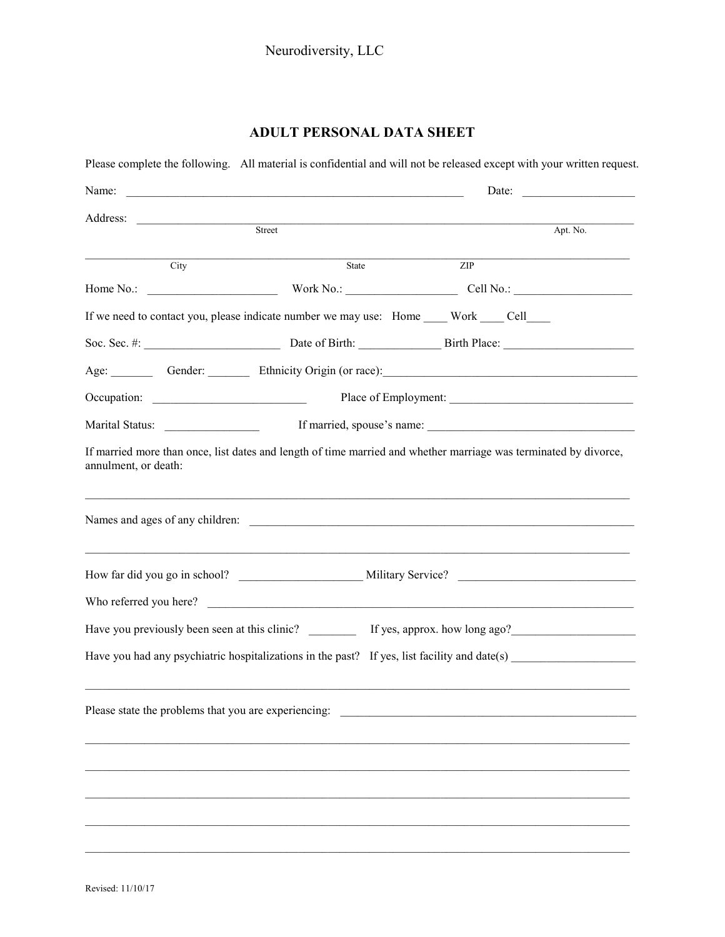## **ADULT PERSONAL DATA SHEET**

| Address: <u>Apt.</u>                                                                       |       |                  | Apt. No.                                                                                                                                                                                                                       |  |  |
|--------------------------------------------------------------------------------------------|-------|------------------|--------------------------------------------------------------------------------------------------------------------------------------------------------------------------------------------------------------------------------|--|--|
|                                                                                            |       |                  |                                                                                                                                                                                                                                |  |  |
| City                                                                                       | State | $\overline{ZIP}$ |                                                                                                                                                                                                                                |  |  |
|                                                                                            |       |                  |                                                                                                                                                                                                                                |  |  |
| If we need to contact you, please indicate number we may use: Home ____ Work ____ Cell____ |       |                  |                                                                                                                                                                                                                                |  |  |
|                                                                                            |       |                  |                                                                                                                                                                                                                                |  |  |
|                                                                                            |       |                  | Age: Gender: Ethnicity Origin (or race): Contact Contact Contact Contact Contact Contact Contact Contact Contact Contact Contact Contact Contact Contact Contact Contact Contact Contact Contact Contact Contact Contact Conta |  |  |
|                                                                                            |       |                  |                                                                                                                                                                                                                                |  |  |
|                                                                                            |       |                  |                                                                                                                                                                                                                                |  |  |
| annulment, or death:                                                                       |       |                  |                                                                                                                                                                                                                                |  |  |
|                                                                                            |       |                  |                                                                                                                                                                                                                                |  |  |
|                                                                                            |       |                  |                                                                                                                                                                                                                                |  |  |
|                                                                                            |       |                  | Have you previously been seen at this clinic? ____________ If yes, approx. how long ago?                                                                                                                                       |  |  |
|                                                                                            |       |                  | Have you had any psychiatric hospitalizations in the past? If yes, list facility and date(s)                                                                                                                                   |  |  |
|                                                                                            |       |                  |                                                                                                                                                                                                                                |  |  |
| Please state the problems that you are experiencing:                                       |       |                  |                                                                                                                                                                                                                                |  |  |
|                                                                                            |       |                  |                                                                                                                                                                                                                                |  |  |